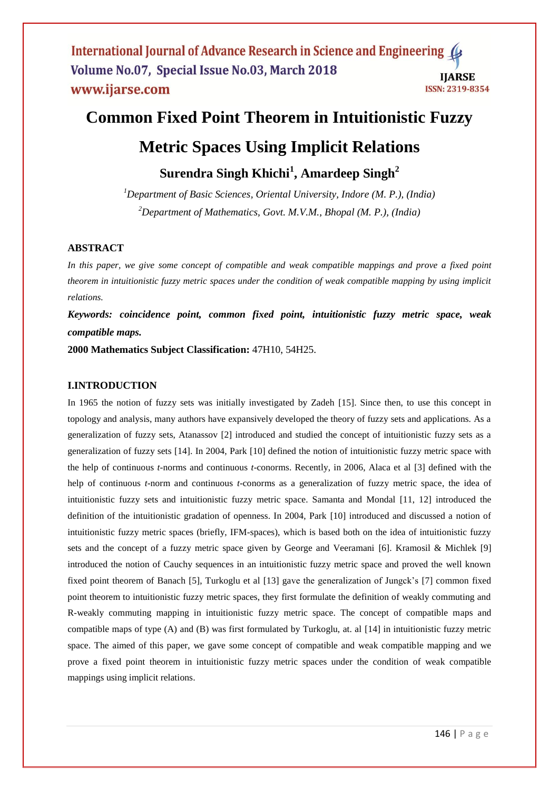# **Common Fixed Point Theorem in Intuitionistic Fuzzy Metric Spaces Using Implicit Relations**

**Surendra Singh Khichi<sup>1</sup> , Amardeep Singh<sup>2</sup>**

*<sup>1</sup>Department of Basic Sciences, Oriental University, Indore (M. P.), (India) <sup>2</sup>Department of Mathematics, Govt. M.V.M., Bhopal (M. P.), (India)*

## **ABSTRACT**

*In this paper, we give some concept of compatible and weak compatible mappings and prove a fixed point theorem in intuitionistic fuzzy metric spaces under the condition of weak compatible mapping by using implicit relations.*

*Keywords: coincidence point, common fixed point, intuitionistic fuzzy metric space, weak compatible maps.*

**2000 Mathematics Subject Classification:** 47H10, 54H25.

## **I.INTRODUCTION**

In 1965 the notion of fuzzy sets was initially investigated by Zadeh [15]. Since then, to use this concept in topology and analysis, many authors have expansively developed the theory of fuzzy sets and applications. As a generalization of fuzzy sets, Atanassov [2] introduced and studied the concept of intuitionistic fuzzy sets as a generalization of fuzzy sets [14]. In 2004, Park [10] defined the notion of intuitionistic fuzzy metric space with the help of continuous *t*-norms and continuous *t*-conorms. Recently, in 2006, Alaca et al [3] defined with the help of continuous *t*-norm and continuous *t*-conorms as a generalization of fuzzy metric space, the idea of intuitionistic fuzzy sets and intuitionistic fuzzy metric space. Samanta and Mondal [11, 12] introduced the definition of the intuitionistic gradation of openness. In 2004, Park [10] introduced and discussed a notion of intuitionistic fuzzy metric spaces (briefly, IFM-spaces), which is based both on the idea of intuitionistic fuzzy sets and the concept of a fuzzy metric space given by George and Veeramani [6]. Kramosil & Michlek [9] introduced the notion of Cauchy sequences in an intuitionistic fuzzy metric space and proved the well known fixed point theorem of Banach [5], Turkoglu et al [13] gave the generalization of Jungck's [7] common fixed point theorem to intuitionistic fuzzy metric spaces, they first formulate the definition of weakly commuting and R-weakly commuting mapping in intuitionistic fuzzy metric space. The concept of compatible maps and compatible maps of type (A) and (B) was first formulated by Turkoglu, at. al [14] in intuitionistic fuzzy metric space. The aimed of this paper, we gave some concept of compatible and weak compatible mapping and we prove a fixed point theorem in intuitionistic fuzzy metric spaces under the condition of weak compatible mappings using implicit relations.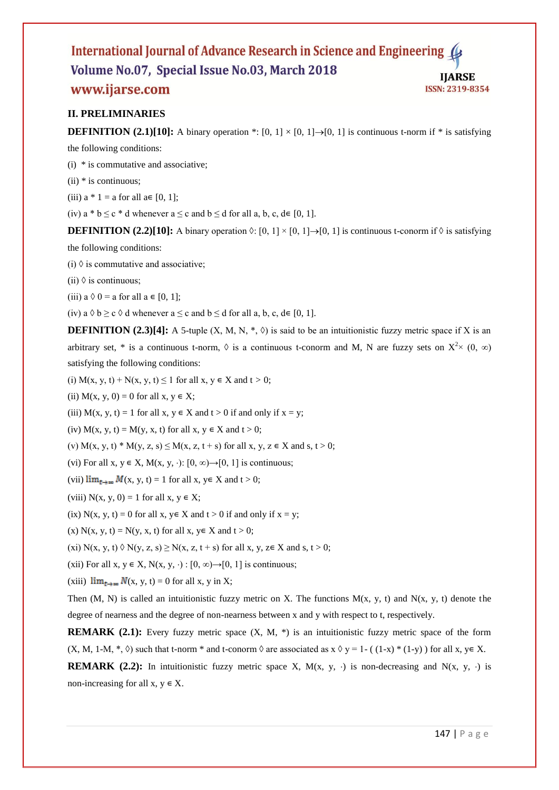## **II. PRELIMINARIES**

**DEFINITION** (2.1)[10]: A binary operation \*: [0, 1]  $\times$  [0, 1]  $\rightarrow$  [0, 1] is continuous t-norm if \* is satisfying

the following conditions:

- (i) \* is commutative and associative;
- $(ii)$  \* is continuous;
- (iii)  $a * 1 = a$  for all  $a \in [0, 1]$ ;

(iv) a \*  $b \le c$  \* d whenever a  $\le c$  and  $b \le d$  for all a, b, c,  $d \in [0, 1]$ .

**DEFINITION** (2.2)[10]: A binary operation  $\Diamond$ : [0, 1]  $\times$  [0, 1]  $\rightarrow$  [0, 1] is continuous t-conorm if  $\Diamond$  is satisfying

the following conditions:

(i)  $\Diamond$  is commutative and associative;

(ii)  $\Diamond$  is continuous;

(iii)  $a \lozenge 0$  = a for all  $a \in [0, 1]$ ;

(iv) a  $\Diamond$  b  $\geq$  c  $\Diamond$  d whenever a  $\leq$  c and b  $\leq$  d for all a, b, c, d  $\in$  [0, 1].

**DEFINITION (2.3)[4]:** A 5-tuple (X, M, N,  $\ast$ ,  $\Diamond$ ) is said to be an intuitionistic fuzzy metric space if X is an arbitrary set, \* is a continuous t-norm,  $\Diamond$  is a continuous t-conorm and M, N are fuzzy sets on  $X^{2} \times (0, \infty)$ satisfying the following conditions:

(i)  $M(x, y, t) + N(x, y, t) \le 1$  for all  $x, y \in X$  and  $t > 0$ ;

(ii)  $M(x, y, 0) = 0$  for all  $x, y \in X$ ;

(iii)  $M(x, y, t) = 1$  for all  $x, y \in X$  and  $t > 0$  if and only if  $x = y$ ;

(iv)  $M(x, y, t) = M(y, x, t)$  for all  $x, y \in X$  and  $t > 0$ ;

(v) M(x, y, t) \* M(y, z, s)  $\leq M(x, z, t + s)$  for all x, y,  $z \in X$  and s,  $t > 0$ ;

(vi) For all x,  $y \in X$ ,  $M(x, y, \cdot)$ :  $[0, \infty) \rightarrow [0, 1]$  is continuous;

(vii)  $\lim_{t\to\infty} M(x, y, t) = 1$  for all x,  $y \in X$  and  $t > 0$ ;

(viii)  $N(x, y, 0) = 1$  for all  $x, y \in X$ ;

(ix)  $N(x, y, t) = 0$  for all  $x, y \in X$  and  $t > 0$  if and only if  $x = y$ ;

(x)  $N(x, y, t) = N(y, x, t)$  for all  $x, y \in X$  and  $t > 0$ ;

(xi) N(x, y, t)  $\Diamond$  N(y, z, s)  $\geq$  N(x, z, t + s) for all x, y, z $\in$  X and s, t > 0;

(xii) For all x,  $y \in X$ ,  $N(x, y, \cdot) : [0, \infty) \rightarrow [0, 1]$  is continuous;

(xiii)  $\lim_{x\to\infty} N(x, y, t) = 0$  for all x, y in X;

Then  $(M, N)$  is called an intuitionistic fuzzy metric on X. The functions  $M(x, y, t)$  and  $N(x, y, t)$  denote the degree of nearness and the degree of non-nearness between x and y with respect to t, respectively.

**REMARK** (2.1): Every fuzzy metric space  $(X, M, *)$  is an intuitionistic fuzzy metric space of the form  $(X, M, 1-M, *, \lozenge)$  such that t-norm \* and t-conorm  $\lozenge$  are associated as  $x \lozenge y = 1 - (1-x) * (1-y)$  for all  $x, y \in X$ .

**REMARK** (2.2): In intuitionistic fuzzy metric space X,  $M(x, y, \cdot)$  is non-decreasing and  $N(x, y, \cdot)$  is non-increasing for all  $x, y \in X$ .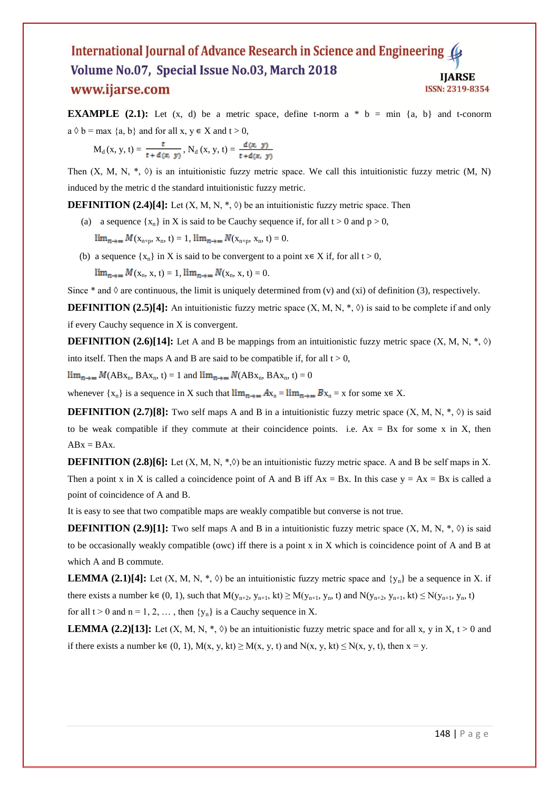**EXAMPLE** (2.1): Let  $(x, d)$  be a metric space, define t-norm  $a * b = min \{a, b\}$  and t-conorm  $a \Diamond b = \max \{a, b\}$  and for all  $x, y \in X$  and  $t > 0$ ,

$$
M_{d}(x, y, t) = \frac{t}{t + d(x, y)}, N_{d}(x, y, t) = \frac{d(x, y)}{t + d(x, y)}
$$

Then  $(X, M, N, *$ ,  $\Diamond)$  is an intuitionistic fuzzy metric space. We call this intuitionistic fuzzy metric  $(M, N)$ induced by the metric d the standard intuitionistic fuzzy metric.

**DEFINITION (2.4)[4]:** Let  $(X, M, N, *, \Diamond)$  be an intuitionistic fuzzy metric space. Then

(a) a sequence  $\{x_n\}$  in X is said to be Cauchy sequence if, for all  $t > 0$  and  $p > 0$ ,

 $\lim_{n \to \infty} M(x_{n+p}, x_n, t) = 1$ ,  $\lim_{n \to \infty} N(x_{n+p}, x_n, t) = 0$ .

(b) a sequence  $\{x_n\}$  in X is said to be convergent to a point  $x \in X$  if, for all  $t > 0$ ,  $\lim_{n\to\infty} M(x_n, x, t) = 1, \lim_{n\to\infty} N(x_n, x, t) = 0.$ 

Since  $*$  and  $\Diamond$  are continuous, the limit is uniquely determined from (v) and (xi) of definition (3), respectively.

**DEFINITION** (2.5)[4]: An intuitionistic fuzzy metric space  $(X, M, N, *, \Diamond)$  is said to be complete if and only if every Cauchy sequence in X is convergent.

**DEFINITION** (2.6)[14]: Let A and B be mappings from an intuitionistic fuzzy metric space  $(X, M, N, *, \lozenge)$ into itself. Then the maps A and B are said to be compatible if, for all  $t > 0$ ,

 $\lim_{n\to\infty} M(ABx_n, BAx_n, t) = 1$  and  $\lim_{n\to\infty} N(ABx_n, BAx_n, t) = 0$ 

whenever  $\{x_n\}$  is a sequence in X such that  $\lim_{n\to\infty} Ax_n = \lim_{n\to\infty} Bx_n = x$  for some  $x \in X$ .

**DEFINITION** (2.7)[8]: Two self maps A and B in a intuitionistic fuzzy metric space  $(X, M, N, *, \Diamond)$  is said to be weak compatible if they commute at their coincidence points. i.e.  $Ax = Bx$  for some x in X, then  $ABx = BAx$ .

**DEFINITION** (2.8)[6]: Let  $(X, M, N, * \lozenge)$  be an intuitionistic fuzzy metric space. A and B be self maps in X. Then a point x in X is called a coincidence point of A and B iff  $Ax = Bx$ . In this case  $y = Ax = Bx$  is called a point of coincidence of A and B.

It is easy to see that two compatible maps are weakly compatible but converse is not true.

**DEFINITION** (2.9)[1]: Two self maps A and B in a intuitionistic fuzzy metric space  $(X, M, N, *, \Diamond)$  is said to be occasionally weakly compatible (owc) iff there is a point x in X which is coincidence point of A and B at which A and B commute.

**LEMMA** (2.1)[4]: Let  $(X, M, N, *, \lozenge)$  be an intuitionistic fuzzy metric space and  $\{y_n\}$  be a sequence in X. if there exists a number  $k \in (0, 1)$ , such that  $M(y_{n+2}, y_{n+1}, kt) \geq M(y_{n+1}, y_n, t)$  and  $N(y_{n+2}, y_{n+1}, kt) \leq N(y_{n+1}, y_n, t)$ for all  $t > 0$  and  $n = 1, 2, \ldots$ , then  $\{y_n\}$  is a Cauchy sequence in X.

**LEMMA** (2.2)[13]: Let  $(X, M, N, *, \Diamond)$  be an intuitionistic fuzzy metric space and for all x, y in X, t > 0 and if there exists a number k∈ (0, 1), M(x, y, kt)  $\geq M(x, y, t)$  and N(x, y, kt)  $\leq N(x, y, t)$ , then x = y.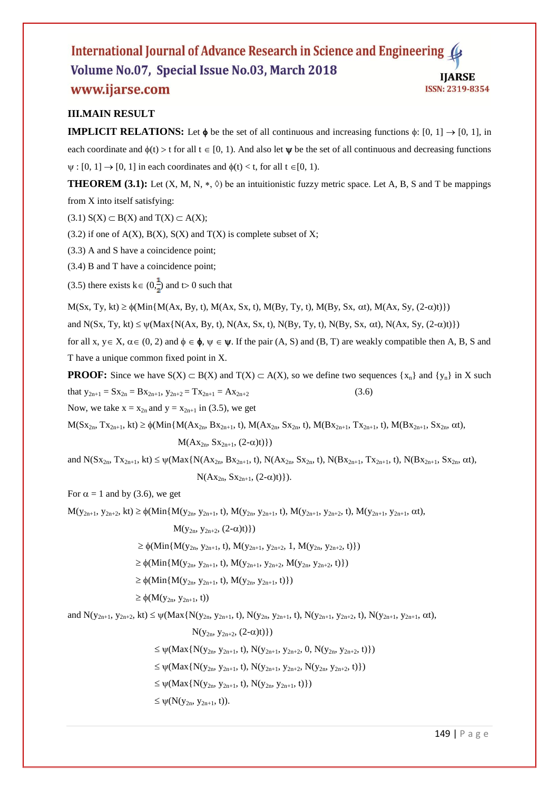## **III.MAIN RESULT**

**IMPLICIT RELATIONS:** Let  $\phi$  be the set of all continuous and increasing functions  $\phi$ : [0, 1]  $\rightarrow$  [0, 1], in each coordinate and  $\phi(t) > t$  for all  $t \in [0, 1)$ . And also let  $\psi$  be the set of all continuous and decreasing functions  $\psi : [0, 1] \rightarrow [0, 1]$  in each coordinates and  $\phi(t) < t$ , for all  $t \in [0, 1)$ .

**THEOREM (3.1):** Let  $(X, M, N, *, \Diamond)$  be an intuitionistic fuzzy metric space. Let A, B, S and T be mappings from X into itself satisfying:

 $(3.1)$  S(X)  $\subset$  B(X) and T(X)  $\subset$  A(X);

 $(3.2)$  if one of A(X), B(X), S(X) and T(X) is complete subset of X;

(3.3) A and S have a coincidence point;

(3.4) B and T have a coincidence point;

(3.5) there exists  $k \in (0, \frac{1}{n})$  and t o 0 such that

 $M(Sx, Ty, kt) \geq \phi(Min{M(Ax, By, t), M(Ax, Sx, t), M(By, Ty, t), M(By, Sx, \alpha t), M(Ax, Sy, (2-\alpha)t)})$ 

and  $N(Sx, Ty, kt) \leq \psi(Max\{N(Ax, By, t), N(Ax, Sx, t), N(By, Ty, t), N(By, Sx, \alpha t), N(Ax, Sy, (2-\alpha)t)\})$ 

for all x,  $y \in X$ ,  $\alpha \in (0, 2)$  and  $\phi \in \phi$ ,  $\psi \in \psi$ . If the pair  $(A, S)$  and  $(B, T)$  are weakly compatible then A, B, S and T have a unique common fixed point in X.

**PROOF:** Since we have  $S(X) \subset B(X)$  and  $T(X) \subset A(X)$ , so we define two sequences  $\{x_n\}$  and  $\{y_n\}$  in X such that  $y_{2n+1} = Sx_{2n} = Bx_{2n+1}, y_{2n+2} = Tx_{2n+1} = Ax_{2n+2}$  (3.6)

Now, we take  $x = x_{2n}$  and  $y = x_{2n+1}$  in (3.5), we get

 $M(Sx_{2n}, Tx_{2n+1}, kt) \geq \phi(Min{M(Ax_{2n}, Bx_{2n+1}, t), M(Ax_{2n}, Sx_{2n}, t), M(Bx_{2n+1}, Tx_{2n+1}, t), M(Bx_{2n+1}, Sx_{2n}, \alpha t),$ 

#### $M(Ax_{2n}, Sx_{2n+1}, (2-\alpha)t)$

and  $N(Sx_{2n}, Tx_{2n+1}, kt) \leq \psi(Max\{N(Ax_{2n}, Bx_{2n+1}, t), N(Ax_{2n}, Sx_{2n}, t), N(Bx_{2n+1}, Tx_{2n+1}, t), N(Bx_{2n+1}, Sx_{2n}, \alpha t),$  $N(Ax_{2n}, Sx_{2n+1}, (2-\alpha)t)\}.$ 

For  $\alpha = 1$  and by (3.6), we get

 $M(y_{2n+1}, y_{2n+2}, kt) \geq \phi(Min\{M(y_{2n}, y_{2n+1}, t), M(y_{2n}, y_{2n+1}, t), M(y_{2n+1}, y_{2n+2}, t), M(y_{2n+1}, y_{2n+1}, \alpha t),$ 

 $M(y_{2n}, y_{2n+2}, (2-\alpha)t)$ 

 $\geq \phi(\text{Min}\{M(y_{2n}, y_{2n+1}, t), M(y_{2n+1}, y_{2n+2}, 1, M(y_{2n}, y_{2n+2}, t)\})$ 

 $\geq \phi(\text{Min}\{M(y_{2n}, y_{2n+1}, t), M(y_{2n+1}, y_{2n+2}, M(y_{2n}, y_{2n+2}, t)\})$ 

 $\geq \phi(\text{Min}\{M(y_{2n}, y_{2n+1}, t), M(y_{2n}, y_{2n+1}, t)\})$ 

 $\geq \phi(M(y_{2n}, y_{2n+1}, t))$ 

and  $N(y_{2n+1}, y_{2n+2}, kt) \leq \psi(Max\{N(y_{2n}, y_{2n+1}, t), N(y_{2n}, y_{2n+1}, t), N(y_{2n+1}, y_{2n+2}, t), N(y_{2n+1}, y_{2n+1}, \alpha t),$ 

 $N(y_{2n}, y_{2n+2}, (2-\alpha)t)$ }

 $\leq \psi(Max\{N(y_{2n}, y_{2n+1}, t), N(y_{2n+1}, y_{2n+2}, 0, N(y_{2n}, y_{2n+2}, t))\})$ 

 $\leq \psi(Max\{N(y_{2n}, y_{2n+1}, t), N(y_{2n+1}, y_{2n+2}, N(y_{2n}, y_{2n+2}, t))\})$ 

 $\leq \psi(\text{Max}\{N(y_{2n}, y_{2n+1}, t), N(y_{2n}, y_{2n+1}, t)\})$ 

 $\leq \psi(N(y_{2n}, y_{2n+1}, t)).$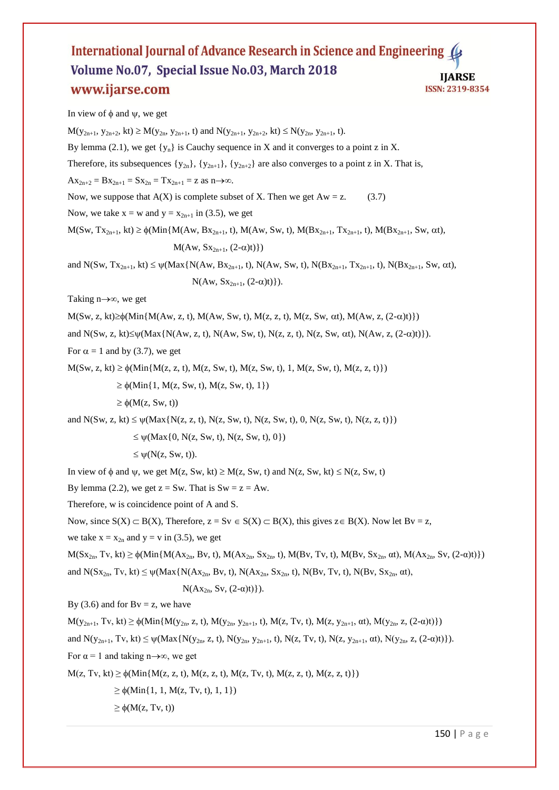In view of  $\phi$  and  $\psi$ , we get

 $M(y_{2n+1}, y_{2n+2}, kt) \ge M(y_{2n}, y_{2n+1}, t)$  and  $N(y_{2n+1}, y_{2n+2}, kt) \le N(y_{2n}, y_{2n+1}, t)$ . By lemma (2.1), we get  $\{y_n\}$  is Cauchy sequence in X and it converges to a point z in X. Therefore, its subsequences  $\{y_{2n}\}, \{y_{2n+1}\}, \{y_{2n+2}\}$  are also converges to a point z in X. That is,  $Ax_{2n+2} = Bx_{2n+1} = Sx_{2n} = Tx_{2n+1} = z$  as  $n \rightarrow \infty$ . Now, we suppose that  $A(X)$  is complete subset of X. Then we get  $Aw = z$ . (3.7) Now, we take  $x = w$  and  $y = x_{2n+1}$  in (3.5), we get  $M(Sw, Tx_{2n+1}, kt) \geq \phi(Min{M(Aw, Bx_{2n+1}, t), M(Aw, Sw, t), M(Bx_{2n+1}, Tx_{2n+1}, t), M(Bx_{2n+1}, Sw, \alpha t)},$  $M(Aw, Sx_{2n+1}, (2-\alpha)t)$ and N(Sw, Tx<sub>2n+1</sub>, kt)  $\leq \psi$ (Max{N(Aw, Bx<sub>2n+1</sub>, t), N(Aw, Sw, t), N(Bx<sub>2n+1</sub>, Tx<sub>2n+1</sub>, t), N(Bx<sub>2n+1</sub>, Sw,  $\alpha$ t),  $N(Aw, Sx_{2n+1}, (2-\alpha)t)\}.$ Taking  $n \rightarrow \infty$ , we get  $M(Sw, z, kt) \geq \phi(Min\{M(xw, z, t), M(Aw, Sw, t), M(z, z, t), M(z, Sw, \alpha t), M(Aw, z, (2-\alpha)t)\})$ and  $N(Sw, z, kt) \leq \psi(Max\{N(Aw, z, t), N(Aw, Sw, t), N(z, z, t), N(z, Sw, \alpha t), N(Aw, z, (2-\alpha)t)\}).$ For  $\alpha = 1$  and by (3.7), we get  $M(Sw, z, kt) \geq \phi(Min{M(z, z, t), M(z, Sw, t), M(z, Sw, t), 1, M(z, Sw, t), M(z, z, t)})$  $\geq \phi(\text{Min}\{1, M(z, Sw, t), M(z, Sw, t), 1\})$  $\geq \phi(M(z, Sw, t))$ and  $N(Sw, z, kt) \leq \psi(Max\{N(z, z, t), N(z, Sw, t), N(z, Sw, t), 0, N(z, Sw, t), N(z, z, t)\})$  $\leq \psi$ (Max{0, N(z, Sw, t), N(z, Sw, t), 0})  $\leq \psi(N(z, Sw, t)).$ In view of  $\phi$  and  $\psi$ , we get M(z, Sw, kt)  $\geq M(z, Sw, t)$  and N(z, Sw, kt)  $\leq N(z, Sw, t)$ By lemma (2.2), we get  $z = Sw$ . That is  $Sw = z = Aw$ . Therefore, w is coincidence point of A and S. Now, since  $S(X) \subset B(X)$ , Therefore,  $z = Sv \in S(X) \subset B(X)$ , this gives  $z \in B(X)$ . Now let  $Bv = z$ , we take  $x = x_{2n}$  and  $y = v$  in (3.5), we get  $M(Sx_{2n}, Tv, kt) \geq \phi(Min\{M(x_{2n}, Bv, t), M(Ax_{2n}, Sx_{2n}, t), M(Bv, Tv, t), M(Bv, Sx_{2n}, \alpha t), M(Ax_{2n}, Sv, (2-\alpha)t)\})$ and  $N(Sx_{2n}, Ty, kt) \leq \psi(Max\{N(Ax_{2n}, By, t), N(Ax_{2n}, Sx_{2n}, t), N(By, Ty, t), N(By, Sx_{2n}, \alpha t),$ N(Ax<sub>2n</sub>, Sv, (2-α)t)}). By (3.6) and for  $Bv = z$ , we have  $M(y_{2n+1}, Tv, kt) \geq \phi(Min{M(y_{2n}, z, t), M(y_{2n}, y_{2n+1}, t), M(z, Tv, t), M(z, y_{2n+1}, \alpha t), M(y_{2n}, z, (2-\alpha)t)})$ and  $N(y_{2n+1}, Ty, kt) \leq \psi(Max\{N(y_{2n}, z, t), N(y_{2n}, y_{2n+1}, t), N(z, Tv, t), N(z, y_{2n+1}, \alpha t), N(y_{2n}, z, (2-\alpha)t)\}).$ For  $\alpha = 1$  and taking n→∞, we get  $M(z, Tv, kt) \geq \phi(Min{M(z, z, t), M(z, z, t), M(z, Tv, t), M(z, z, t), M(z, z, t)})$  $\geq \phi(\text{Min}\{1, 1, M(z, Tv, t), 1, 1\})$ 

 $\geq \phi(M(z, Tv, t))$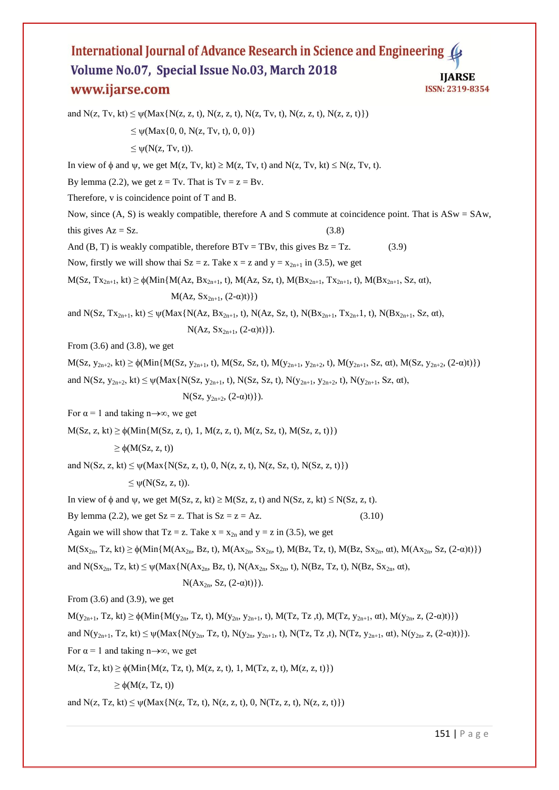and  $N(z, Tv, kt) \leq \psi(Max\{N(z, z, t), N(z, z, t), N(z, Tv, t), N(z, z, t), N(z, z, t)\})$  $\leq \psi$ (Max{0, 0, N(z, Tv, t), 0, 0})  $\leq \psi(N(z, Tv, t)).$ In view of  $\phi$  and  $\psi$ , we get  $M(z, Tv, kt) \geq M(z, Tv, t)$  and  $N(z, Tv, kt) \leq N(z, Tv, t)$ . By lemma (2.2), we get  $z = Tv$ . That is  $Tv = z = Bv$ . Therefore, v is coincidence point of T and B. Now, since (A, S) is weakly compatible, therefore A and S commute at coincidence point. That is ASw = SAw, this gives  $Az = Sz$ . (3.8) And  $(B, T)$  is weakly compatible, therefore  $B Tv = TBv$ , this gives  $Bz = Tz$ . (3.9) Now, firstly we will show thai  $Sz = z$ . Take  $x = z$  and  $y = x_{2n+1}$  in (3.5), we get  $M(Sz, Tx_{2n+1}, kt) \geq \phi(Min{M(Az, Bx_{2n+1}, t), M(Az, Sz, t), M(Bx_{2n+1}, Tx_{2n+1}, t), M(Bx_{2n+1}, Sz, \alpha t)},$  $M(Az, Sx_{2n+1}, (2-\alpha)t)$ and N(Sz, Tx<sub>2n+1</sub>, kt)  $\leq \psi$ (Max{N(Az, Bx<sub>2n+1</sub>, t), N(Az, Sz, t), N(Bx<sub>2n+1</sub>, Tx<sub>2n+</sub>1, t), N(Bx<sub>2n+1</sub>, Sz, αt),  $N(Az, Sx_{2n+1}, (2-\alpha)t)\}.$ From  $(3.6)$  and  $(3.8)$ , we get  $M(Sz, y_{2n+2}, kt) \geq \phi(Min\{M(Sz, y_{2n+1}, t), M(Sz, Sz, t), M(y_{2n+1}, y_{2n+2}, t), M(y_{2n+1}, Sz, \alpha t), M(Sz, y_{2n+2}, (2-\alpha)t)\})$ and N(Sz,  $y_{2n+2}$ , kt)  $\leq \psi(Max\{N(Sz, y_{2n+1}, t), N(Sz, Sz, t), N(y_{2n+1}, y_{2n+2}, t), N(y_{2n+1}, Sz, \alpha t),$ N(Sz,  $y_{2n+2}$ ,  $(2-\alpha)t)$ ). For  $\alpha = 1$  and taking n→∞, we get  $M(Sz, z, kt) \geq \phi(Min{M(Sz, z, t), 1, M(z, z, t), M(z, Sz, t), M(Sz, z, t)})$  $\geq \phi(M(Sz, z, t))$ and  $N(Sz, z, kt) \leq \psi(Max\{N(Sz, z, t), 0, N(z, z, t), N(z, Sz, t), N(Sz, z, t)\})$  $\leq \psi(N(Sz, z, t)).$ In view of  $\phi$  and  $\psi$ , we get M(Sz, z, kt)  $\geq M(Sz, z, t)$  and  $N(Sz, z, kt) \leq N(Sz, z, t)$ . By lemma (2.2), we get  $Sz = z$ . That is  $Sz = z = Az$ . (3.10) Again we will show that Tz = z. Take  $x = x_{2n}$  and  $y = z$  in (3.5), we get  $M(Sx_{2n}, Tz, kt) \geq \phi(Min{M(Ax_{2n}, Bz, t), M(Ax_{2n}, Sx_{2n}, t), M(Bz, Tz, t), M(Bz, Sx_{2n}, \alpha t), M(Ax_{2n}, Sz, (2-\alpha)t)})$ and  $N(Sx_{2n}, Tz, kt) \leq \psi(Max\{N(Ax_{2n}, Bz, t), N(Ax_{2n}, Sx_{2n}, t), N(Bz, Tz, t), N(Bz, Sx_{2n}, \alpha t),$  $N(Ax_{2n}, Sz, (2-\alpha)t)\}.$ From (3.6) and (3.9), we get  $M(y_{2n+1}, Tz, kt) \geq \phi(Min\{M(y_{2n}, Tz, t), M(y_{2n}, y_{2n+1}, t), M(Tz, Tz, t), M(Tz, y_{2n+1}, \alpha t), M(y_{2n}, z, (2-\alpha)t)\})$ and  $N(y_{2n+1}, Tz, kt) \leq \psi(Max\{N(y_{2n}, Tz, t), N(y_{2n}, y_{2n+1}, t), N(Tz, Tz, t), N(Tz, y_{2n+1}, \alpha t), N(y_{2n}, z, (2-\alpha)t)\}).$ For  $\alpha = 1$  and taking n→∞, we get  $M(z, Tz, kt) \geq \phi(Min{M(z, Tz, t), M(z, z, t), 1, M(Tz, z, t), M(z, z, t)})$  $\geq \phi(M(z, Tz, t))$ and  $N(z, Tz, kt) \leq \psi(Max\{N(z, Tz, t), N(z, z, t), 0, N(Tz, z, t), N(z, z, t)\})$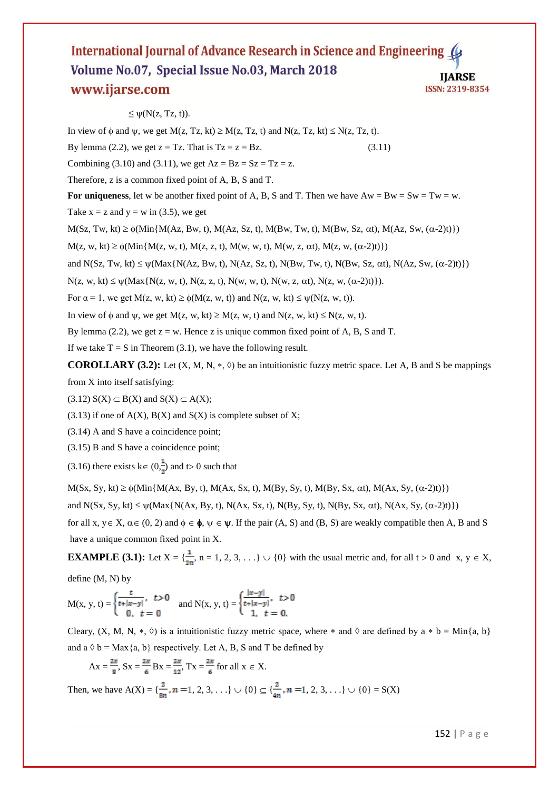### $\leq \psi(N(z, Tz, t)).$

In view of  $\phi$  and  $\psi$ , we get M(z, Tz, kt)  $\geq M(z, Tz, t)$  and N(z, Tz, kt)  $\leq N(z, Tz, t)$ .

By lemma (2.2), we get  $z = Tz$ . That is  $Tz = z = Bz$ . (3.11)

Combining (3.10) and (3.11), we get  $Az = Bz = Sz = Tz = z$ .

Therefore, z is a common fixed point of A, B, S and T.

For uniqueness, let w be another fixed point of A, B, S and T. Then we have  $Aw = Bw = Sw = Tw = w$ .

Take  $x = z$  and  $y = w$  in (3.5), we get

 $M(Sz, Tw, kt) \geq \phi(Min{M(Az, Bw, t), M(Az, Sz, t), M(Bw, Tw, t), M(Bw, Sz, \alpha t), M(Az, Sw, (\alpha-2)t)})$ 

 $M(z, w, kt) \geq \phi(Min{M(z, w, t), M(z, z, t), M(w, w, t), M(w, z, \alpha t), M(z, w, (\alpha - 2)t)})$ 

and N(Sz, Tw, kt)  $\leq \psi(\text{Max}\{N(Az, Bw, t), N(Az, Sz, t), N(Bw, Tw, t), N(Bw, Sz, \alpha t), N(Az, Sw, (\alpha-2)t)\})$ 

 $N(z, w, kt) \leq \psi(Max\{N(z, w, t), N(z, z, t), N(w, w, t), N(w, z, \alpha t), N(z, w, (\alpha - 2)t)\}).$ 

For  $\alpha = 1$ , we get  $M(z, w, kt) \ge \phi(M(z, w, t))$  and  $N(z, w, kt) \le \psi(N(z, w, t))$ .

In view of  $\phi$  and  $\psi$ , we get  $M(z, w, kt) \geq M(z, w, t)$  and  $N(z, w, kt) \leq N(z, w, t)$ .

By lemma (2.2), we get  $z = w$ . Hence z is unique common fixed point of A, B, S and T.

If we take  $T = S$  in Theorem (3.1), we have the following result.

**COROLLARY (3.2):** Let  $(X, M, N, *, \Diamond)$  be an intuitionistic fuzzy metric space. Let A, B and S be mappings from X into itself satisfying:

 $(3.12)$  S(X)  $\subset$  B(X) and S(X)  $\subset$  A(X);

 $(3.13)$  if one of A(X), B(X) and S(X) is complete subset of X;

(3.14) A and S have a coincidence point;

(3.15) B and S have a coincidence point;

(3.16) there exists  $k \in (0, \frac{1}{n})$  and t o 0 such that

 $M(Sx, Sy, kt) \geq \phi(Min{M(Ax, By, t), M(Ax, Sx, t), M(By, Sy, t), M(By, Sx, \alpha t), M(Ax, Sy, (\alpha-2)t)})$ 

and N(Sx, Sy, kt)  $\leq \psi$ (Max{N(Ax, By, t), N(Ax, Sx, t), N(By, Sy, t), N(By, Sx,  $\alpha t$ ), N(Ax, Sy, ( $\alpha$ -2)t)})

for all x,  $y \in X$ ,  $\alpha \in (0, 2)$  and  $\phi \in \phi$ ,  $\psi \in \psi$ . If the pair  $(A, S)$  and  $(B, S)$  are weakly compatible then A, B and S have a unique common fixed point in X.

**EXAMPLE (3.1):** Let  $X = \{\frac{1}{2n}, n = 1, 2, 3, ...\} \cup \{0\}$  with the usual metric and, for all  $t > 0$  and  $x, y \in X$ , define (M, N) by

 $M(x, y, t) = \begin{cases} \frac{t}{t + |x - y|}, & t > 0 \\ 0 & t = 0 \end{cases}$  and  $N(x, y, t) = \begin{cases} \frac{|x - y|}{t + |x - y|}, & t > 0 \\ 1 & t = 0 \end{cases}$ 

Cleary,  $(X, M, N, *, \Diamond)$  is a intuitionistic fuzzy metric space, where  $*$  and  $\Diamond$  are defined by a  $*$  b = Min{a, b} and  $a \Diamond b = Max\{a, b\}$  respectively. Let A, B, S and T be defined by

$$
Ax = \frac{2x}{8}
$$
,  $Sx = \frac{2x}{6}$   $Bx = \frac{2x}{12}$ ,  $Tx = \frac{2x}{6}$  for all  $x \in X$ .

Then, we have  $A(X) = \{\frac{2}{8n}, n = 1, 2, 3, ...\} \cup \{0\} \subseteq \{\frac{2}{4n}, n = 1, 2, 3, ...\} \cup \{0\} = S(X)$